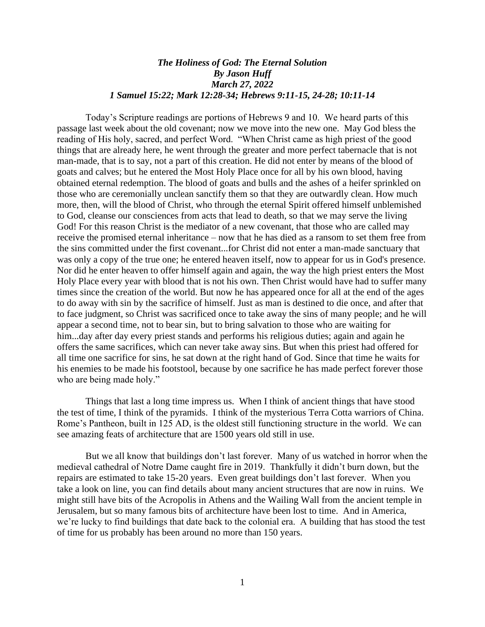## *The Holiness of God: The Eternal Solution By Jason Huff March 27, 2022 1 Samuel 15:22; Mark 12:28-34; Hebrews 9:11-15, 24-28; 10:11-14*

Today's Scripture readings are portions of Hebrews 9 and 10. We heard parts of this passage last week about the old covenant; now we move into the new one. May God bless the reading of His holy, sacred, and perfect Word. "When Christ came as high priest of the good things that are already here, he went through the greater and more perfect tabernacle that is not man-made, that is to say, not a part of this creation. He did not enter by means of the blood of goats and calves; but he entered the Most Holy Place once for all by his own blood, having obtained eternal redemption. The blood of goats and bulls and the ashes of a heifer sprinkled on those who are ceremonially unclean sanctify them so that they are outwardly clean. How much more, then, will the blood of Christ, who through the eternal Spirit offered himself unblemished to God, cleanse our consciences from acts that lead to death, so that we may serve the living God! For this reason Christ is the mediator of a new covenant, that those who are called may receive the promised eternal inheritance – now that he has died as a ransom to set them free from the sins committed under the first covenant...for Christ did not enter a man-made sanctuary that was only a copy of the true one; he entered heaven itself, now to appear for us in God's presence. Nor did he enter heaven to offer himself again and again, the way the high priest enters the Most Holy Place every year with blood that is not his own. Then Christ would have had to suffer many times since the creation of the world. But now he has appeared once for all at the end of the ages to do away with sin by the sacrifice of himself. Just as man is destined to die once, and after that to face judgment, so Christ was sacrificed once to take away the sins of many people; and he will appear a second time, not to bear sin, but to bring salvation to those who are waiting for him...day after day every priest stands and performs his religious duties; again and again he offers the same sacrifices, which can never take away sins. But when this priest had offered for all time one sacrifice for sins, he sat down at the right hand of God. Since that time he waits for his enemies to be made his footstool, because by one sacrifice he has made perfect forever those who are being made holy."

Things that last a long time impress us. When I think of ancient things that have stood the test of time, I think of the pyramids. I think of the mysterious Terra Cotta warriors of China. Rome's Pantheon, built in 125 AD, is the oldest still functioning structure in the world. We can see amazing feats of architecture that are 1500 years old still in use.

But we all know that buildings don't last forever. Many of us watched in horror when the medieval cathedral of Notre Dame caught fire in 2019. Thankfully it didn't burn down, but the repairs are estimated to take 15-20 years. Even great buildings don't last forever. When you take a look on line, you can find details about many ancient structures that are now in ruins. We might still have bits of the Acropolis in Athens and the Wailing Wall from the ancient temple in Jerusalem, but so many famous bits of architecture have been lost to time. And in America, we're lucky to find buildings that date back to the colonial era. A building that has stood the test of time for us probably has been around no more than 150 years.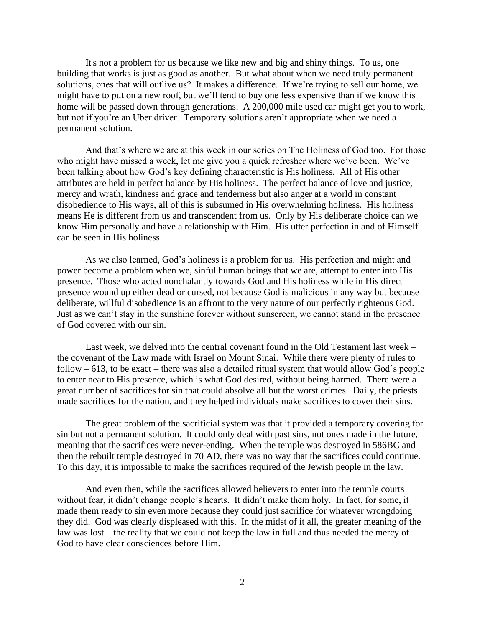It's not a problem for us because we like new and big and shiny things. To us, one building that works is just as good as another. But what about when we need truly permanent solutions, ones that will outlive us? It makes a difference. If we're trying to sell our home, we might have to put on a new roof, but we'll tend to buy one less expensive than if we know this home will be passed down through generations. A 200,000 mile used car might get you to work, but not if you're an Uber driver. Temporary solutions aren't appropriate when we need a permanent solution.

And that's where we are at this week in our series on The Holiness of God too. For those who might have missed a week, let me give you a quick refresher where we've been. We've been talking about how God's key defining characteristic is His holiness. All of His other attributes are held in perfect balance by His holiness. The perfect balance of love and justice, mercy and wrath, kindness and grace and tenderness but also anger at a world in constant disobedience to His ways, all of this is subsumed in His overwhelming holiness. His holiness means He is different from us and transcendent from us. Only by His deliberate choice can we know Him personally and have a relationship with Him. His utter perfection in and of Himself can be seen in His holiness.

As we also learned, God's holiness is a problem for us. His perfection and might and power become a problem when we, sinful human beings that we are, attempt to enter into His presence. Those who acted nonchalantly towards God and His holiness while in His direct presence wound up either dead or cursed, not because God is malicious in any way but because deliberate, willful disobedience is an affront to the very nature of our perfectly righteous God. Just as we can't stay in the sunshine forever without sunscreen, we cannot stand in the presence of God covered with our sin.

Last week, we delved into the central covenant found in the Old Testament last week – the covenant of the Law made with Israel on Mount Sinai. While there were plenty of rules to follow  $-613$ , to be exact – there was also a detailed ritual system that would allow God's people to enter near to His presence, which is what God desired, without being harmed. There were a great number of sacrifices for sin that could absolve all but the worst crimes. Daily, the priests made sacrifices for the nation, and they helped individuals make sacrifices to cover their sins.

The great problem of the sacrificial system was that it provided a temporary covering for sin but not a permanent solution. It could only deal with past sins, not ones made in the future, meaning that the sacrifices were never-ending. When the temple was destroyed in 586BC and then the rebuilt temple destroyed in 70 AD, there was no way that the sacrifices could continue. To this day, it is impossible to make the sacrifices required of the Jewish people in the law.

And even then, while the sacrifices allowed believers to enter into the temple courts without fear, it didn't change people's hearts. It didn't make them holy. In fact, for some, it made them ready to sin even more because they could just sacrifice for whatever wrongdoing they did. God was clearly displeased with this. In the midst of it all, the greater meaning of the law was lost – the reality that we could not keep the law in full and thus needed the mercy of God to have clear consciences before Him.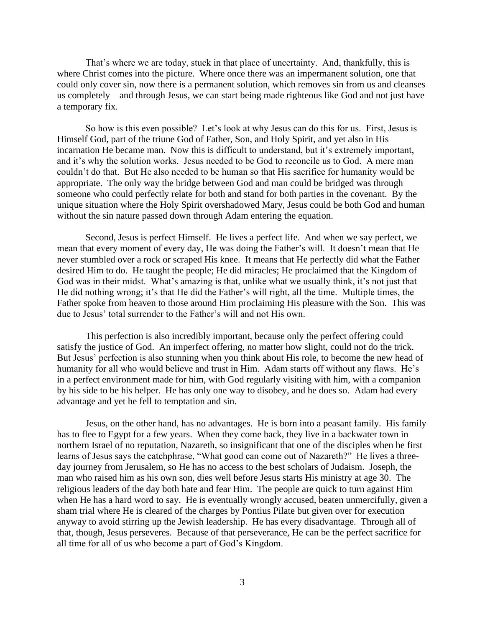That's where we are today, stuck in that place of uncertainty. And, thankfully, this is where Christ comes into the picture. Where once there was an impermanent solution, one that could only cover sin, now there is a permanent solution, which removes sin from us and cleanses us completely – and through Jesus, we can start being made righteous like God and not just have a temporary fix.

So how is this even possible? Let's look at why Jesus can do this for us. First, Jesus is Himself God, part of the triune God of Father, Son, and Holy Spirit, and yet also in His incarnation He became man. Now this is difficult to understand, but it's extremely important, and it's why the solution works. Jesus needed to be God to reconcile us to God. A mere man couldn't do that. But He also needed to be human so that His sacrifice for humanity would be appropriate. The only way the bridge between God and man could be bridged was through someone who could perfectly relate for both and stand for both parties in the covenant. By the unique situation where the Holy Spirit overshadowed Mary, Jesus could be both God and human without the sin nature passed down through Adam entering the equation.

Second, Jesus is perfect Himself. He lives a perfect life. And when we say perfect, we mean that every moment of every day, He was doing the Father's will. It doesn't mean that He never stumbled over a rock or scraped His knee. It means that He perfectly did what the Father desired Him to do. He taught the people; He did miracles; He proclaimed that the Kingdom of God was in their midst. What's amazing is that, unlike what we usually think, it's not just that He did nothing wrong; it's that He did the Father's will right, all the time. Multiple times, the Father spoke from heaven to those around Him proclaiming His pleasure with the Son. This was due to Jesus' total surrender to the Father's will and not His own.

This perfection is also incredibly important, because only the perfect offering could satisfy the justice of God. An imperfect offering, no matter how slight, could not do the trick. But Jesus' perfection is also stunning when you think about His role, to become the new head of humanity for all who would believe and trust in Him. Adam starts off without any flaws. He's in a perfect environment made for him, with God regularly visiting with him, with a companion by his side to be his helper. He has only one way to disobey, and he does so. Adam had every advantage and yet he fell to temptation and sin.

Jesus, on the other hand, has no advantages. He is born into a peasant family. His family has to flee to Egypt for a few years. When they come back, they live in a backwater town in northern Israel of no reputation, Nazareth, so insignificant that one of the disciples when he first learns of Jesus says the catchphrase, "What good can come out of Nazareth?" He lives a threeday journey from Jerusalem, so He has no access to the best scholars of Judaism. Joseph, the man who raised him as his own son, dies well before Jesus starts His ministry at age 30. The religious leaders of the day both hate and fear Him. The people are quick to turn against Him when He has a hard word to say. He is eventually wrongly accused, beaten unmercifully, given a sham trial where He is cleared of the charges by Pontius Pilate but given over for execution anyway to avoid stirring up the Jewish leadership. He has every disadvantage. Through all of that, though, Jesus perseveres. Because of that perseverance, He can be the perfect sacrifice for all time for all of us who become a part of God's Kingdom.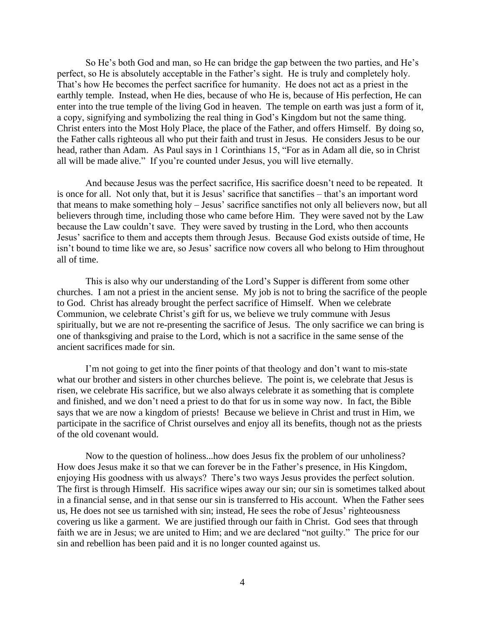So He's both God and man, so He can bridge the gap between the two parties, and He's perfect, so He is absolutely acceptable in the Father's sight. He is truly and completely holy. That's how He becomes the perfect sacrifice for humanity. He does not act as a priest in the earthly temple. Instead, when He dies, because of who He is, because of His perfection, He can enter into the true temple of the living God in heaven. The temple on earth was just a form of it, a copy, signifying and symbolizing the real thing in God's Kingdom but not the same thing. Christ enters into the Most Holy Place, the place of the Father, and offers Himself. By doing so, the Father calls righteous all who put their faith and trust in Jesus. He considers Jesus to be our head, rather than Adam. As Paul says in 1 Corinthians 15, "For as in Adam all die, so in Christ all will be made alive." If you're counted under Jesus, you will live eternally.

And because Jesus was the perfect sacrifice, His sacrifice doesn't need to be repeated. It is once for all. Not only that, but it is Jesus' sacrifice that sanctifies – that's an important word that means to make something holy – Jesus' sacrifice sanctifies not only all believers now, but all believers through time, including those who came before Him. They were saved not by the Law because the Law couldn't save. They were saved by trusting in the Lord, who then accounts Jesus' sacrifice to them and accepts them through Jesus. Because God exists outside of time, He isn't bound to time like we are, so Jesus' sacrifice now covers all who belong to Him throughout all of time.

This is also why our understanding of the Lord's Supper is different from some other churches. I am not a priest in the ancient sense. My job is not to bring the sacrifice of the people to God. Christ has already brought the perfect sacrifice of Himself. When we celebrate Communion, we celebrate Christ's gift for us, we believe we truly commune with Jesus spiritually, but we are not re-presenting the sacrifice of Jesus. The only sacrifice we can bring is one of thanksgiving and praise to the Lord, which is not a sacrifice in the same sense of the ancient sacrifices made for sin.

I'm not going to get into the finer points of that theology and don't want to mis-state what our brother and sisters in other churches believe. The point is, we celebrate that Jesus is risen, we celebrate His sacrifice, but we also always celebrate it as something that is complete and finished, and we don't need a priest to do that for us in some way now. In fact, the Bible says that we are now a kingdom of priests! Because we believe in Christ and trust in Him, we participate in the sacrifice of Christ ourselves and enjoy all its benefits, though not as the priests of the old covenant would.

Now to the question of holiness...how does Jesus fix the problem of our unholiness? How does Jesus make it so that we can forever be in the Father's presence, in His Kingdom, enjoying His goodness with us always? There's two ways Jesus provides the perfect solution. The first is through Himself. His sacrifice wipes away our sin; our sin is sometimes talked about in a financial sense, and in that sense our sin is transferred to His account. When the Father sees us, He does not see us tarnished with sin; instead, He sees the robe of Jesus' righteousness covering us like a garment. We are justified through our faith in Christ. God sees that through faith we are in Jesus; we are united to Him; and we are declared "not guilty." The price for our sin and rebellion has been paid and it is no longer counted against us.